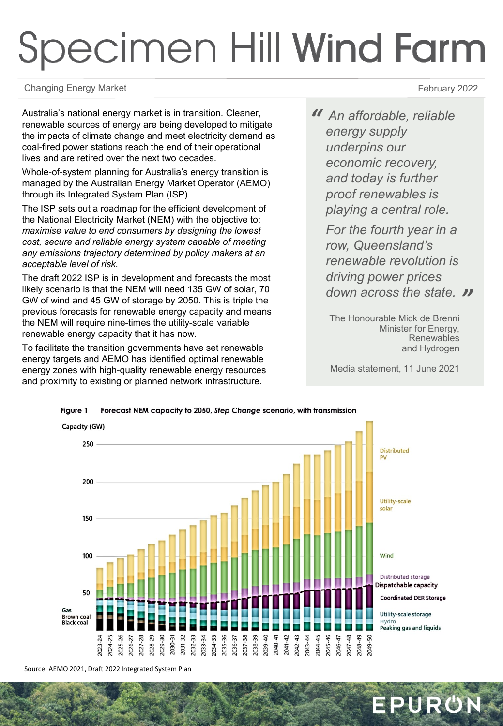## Specimen Hill Wind Farm

Changing Energy Market **February 2022** 

Australia's national energy market is in transition. Cleaner, renewable sources of energy are being developed to mitigate the impacts of climate change and meet electricity demand as coal-fired power stations reach the end of their operational lives and are retired over the next two decades.

Whole-of-system planning for Australia's energy transition is managed by the Australian Energy Market Operator (AEMO) through its Integrated System Plan (ISP).

The ISP sets out a roadmap for the efficient development of the National Electricity Market (NEM) with the objective to: *maximise value to end consumers by designing the lowest cost, secure and reliable energy system capable of meeting any emissions trajectory determined by policy makers at an acceptable level of risk.*

The draft 2022 ISP is in development and forecasts the most likely scenario is that the NEM will need 135 GW of solar, 70 GW of wind and 45 GW of storage by 2050. This is triple the previous forecasts for renewable energy capacity and means the NEM will require nine-times the utility-scale variable renewable energy capacity that it has now.

To facilitate the transition governments have set renewable energy targets and AEMO has identified optimal renewable energy zones with high-quality renewable energy resources and proximity to existing or planned network infrastructure.

*" An affordable, reliable energy supply underpins our economic recovery, and today is further proof renewables is playing a central role.* 

*" down across the state. For the fourth year in a row, Queensland's renewable revolution is driving power prices* 

The Honourable Mick de Brenni Minister for Energy, Renewables and Hydrogen

Media statement, 11 June 2021

EPURON



Forecast NEM capacity to 2050, Step Change scenario, with transmission Figure 1

Source: AEMO 2021, Draft 2022 Integrated System Plan